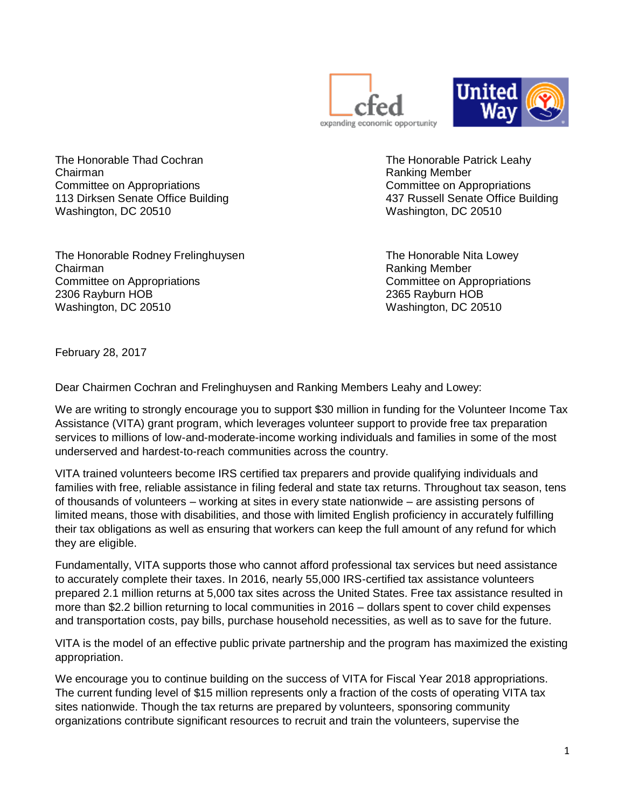



The Honorable Thad Cochran The Honorable Patrick Leahy Chairman **Ranking Member** Chairman **Ranking Member** Committee on Appropriations Committee on Appropriations 113 Dirksen Senate Office Building 437 Russell Senate Office Building Washington, DC 20510 Washington, DC 20510

The Honorable Rodney Frelinghuysen The Honorable Nita Lowey Chairman **Chairman** Ranking Member **Ranking Member Ranking Member** Committee on Appropriations Committee on Appropriations 2306 Rayburn HOB 2365 Rayburn HOB Washington, DC 20510 Washington, DC 20510

February 28, 2017

Dear Chairmen Cochran and Frelinghuysen and Ranking Members Leahy and Lowey:

We are writing to strongly encourage you to support \$30 million in funding for the Volunteer Income Tax Assistance (VITA) grant program, which leverages volunteer support to provide free tax preparation services to millions of low-and-moderate-income working individuals and families in some of the most underserved and hardest-to-reach communities across the country.

VITA trained volunteers become IRS certified tax preparers and provide qualifying individuals and families with free, reliable assistance in filing federal and state tax returns. Throughout tax season, tens of thousands of volunteers – working at sites in every state nationwide – are assisting persons of limited means, those with disabilities, and those with limited English proficiency in accurately fulfilling their tax obligations as well as ensuring that workers can keep the full amount of any refund for which they are eligible.

Fundamentally, VITA supports those who cannot afford professional tax services but need assistance to accurately complete their taxes. In 2016, nearly 55,000 IRS-certified tax assistance volunteers prepared 2.1 million returns at 5,000 tax sites across the United States. Free tax assistance resulted in more than \$2.2 billion returning to local communities in 2016 – dollars spent to cover child expenses and transportation costs, pay bills, purchase household necessities, as well as to save for the future.

VITA is the model of an effective public private partnership and the program has maximized the existing appropriation.

We encourage you to continue building on the success of VITA for Fiscal Year 2018 appropriations. The current funding level of \$15 million represents only a fraction of the costs of operating VITA tax sites nationwide. Though the tax returns are prepared by volunteers, sponsoring community organizations contribute significant resources to recruit and train the volunteers, supervise the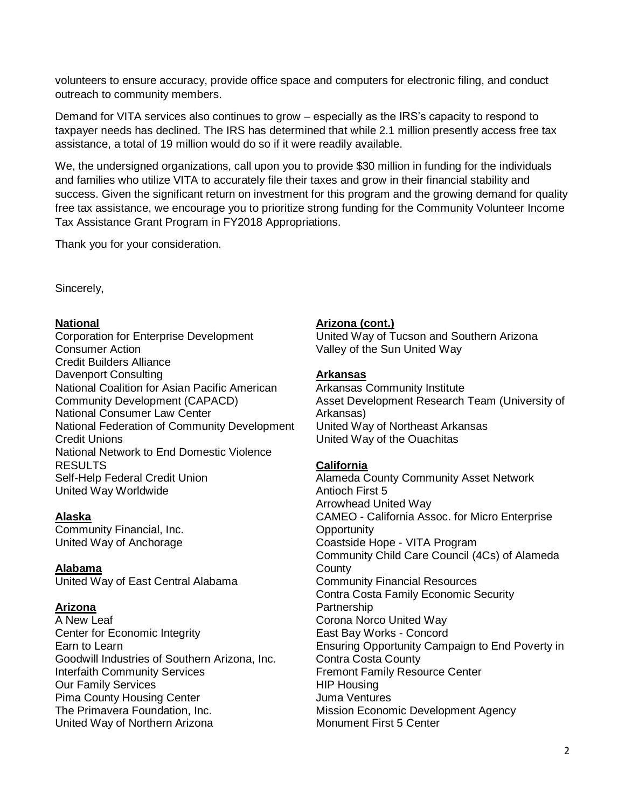volunteers to ensure accuracy, provide office space and computers for electronic filing, and conduct outreach to community members.

Demand for VITA services also continues to grow – especially as the IRS's capacity to respond to taxpayer needs has declined. The IRS has determined that while 2.1 million presently access free tax assistance, a total of 19 million would do so if it were readily available.

We, the undersigned organizations, call upon you to provide \$30 million in funding for the individuals and families who utilize VITA to accurately file their taxes and grow in their financial stability and success. Given the significant return on investment for this program and the growing demand for quality free tax assistance, we encourage you to prioritize strong funding for the Community Volunteer Income Tax Assistance Grant Program in FY2018 Appropriations.

Thank you for your consideration.

Sincerely,

## **National**

Corporation for Enterprise Development Consumer Action Credit Builders Alliance Davenport Consulting National Coalition for Asian Pacific American Community Development (CAPACD) National Consumer Law Center National Federation of Community Development Credit Unions National Network to End Domestic Violence RESULTS Self-Help Federal Credit Union United Way Worldwide

## **Alaska**

Community Financial, Inc. United Way of Anchorage

## **Alabama**

United Way of East Central Alabama

## **Arizona**

A New Leaf Center for Economic Integrity Earn to Learn Goodwill Industries of Southern Arizona, Inc. Interfaith Community Services Our Family Services Pima County Housing Center The Primavera Foundation, Inc. United Way of Northern Arizona

# **Arizona (cont.)**

United Way of Tucson and Southern Arizona Valley of the Sun United Way

### **Arkansas**

Arkansas Community Institute Asset Development Research Team (University of Arkansas) United Way of Northeast Arkansas United Way of the Ouachitas

## **California**

Alameda County Community Asset Network Antioch First 5 Arrowhead United Way CAMEO - California Assoc. for Micro Enterprise **Opportunity** Coastside Hope - VITA Program Community Child Care Council (4Cs) of Alameda **County** Community Financial Resources Contra Costa Family Economic Security Partnership Corona Norco United Way East Bay Works - Concord Ensuring Opportunity Campaign to End Poverty in Contra Costa County Fremont Family Resource Center HIP Housing Juma Ventures Mission Economic Development Agency Monument First 5 Center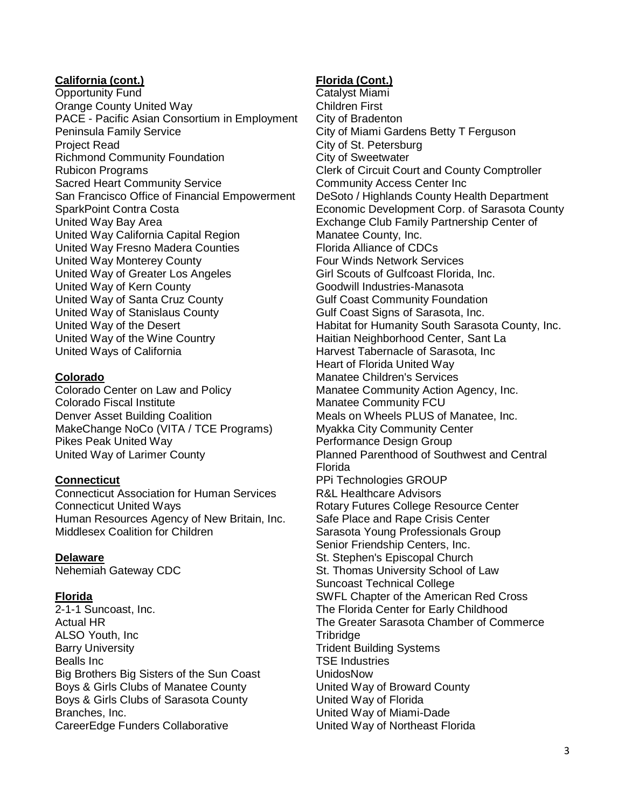## **California (cont.)**

Opportunity Fund Orange County United Way PACE - Pacific Asian Consortium in Employment Peninsula Family Service Project Read Richmond Community Foundation Rubicon Programs Sacred Heart Community Service San Francisco Office of Financial Empowerment SparkPoint Contra Costa United Way Bay Area United Way California Capital Region United Way Fresno Madera Counties United Way Monterey County United Way of Greater Los Angeles United Way of Kern County United Way of Santa Cruz County United Way of Stanislaus County United Way of the Desert United Way of the Wine Country United Ways of California

## **Colorado**

Colorado Center on Law and Policy Colorado Fiscal Institute Denver Asset Building Coalition MakeChange NoCo (VITA / TCE Programs) Pikes Peak United Way United Way of Larimer County

## **Connecticut**

Connecticut Association for Human Services Connecticut United Ways Human Resources Agency of New Britain, Inc. Middlesex Coalition for Children

## **Delaware**

Nehemiah Gateway CDC

## **Florida**

2-1-1 Suncoast, Inc. Actual HR ALSO Youth, Inc Barry University Bealls Inc Big Brothers Big Sisters of the Sun Coast Boys & Girls Clubs of Manatee County Boys & Girls Clubs of Sarasota County Branches, Inc. CareerEdge Funders Collaborative

# **Florida (Cont.)**

Catalyst Miami Children First City of Bradenton City of Miami Gardens Betty T Ferguson City of St. Petersburg City of Sweetwater Clerk of Circuit Court and County Comptroller Community Access Center Inc DeSoto / Highlands County Health Department Economic Development Corp. of Sarasota County Exchange Club Family Partnership Center of Manatee County, Inc. Florida Alliance of CDCs Four Winds Network Services Girl Scouts of Gulfcoast Florida, Inc. Goodwill Industries-Manasota Gulf Coast Community Foundation Gulf Coast Signs of Sarasota, Inc. Habitat for Humanity South Sarasota County, Inc. Haitian Neighborhood Center, Sant La Harvest Tabernacle of Sarasota, Inc Heart of Florida United Way Manatee Children's Services Manatee Community Action Agency, Inc. Manatee Community FCU Meals on Wheels PLUS of Manatee, Inc. Myakka City Community Center Performance Design Group Planned Parenthood of Southwest and Central Florida PPi Technologies GROUP R&L Healthcare Advisors Rotary Futures College Resource Center Safe Place and Rape Crisis Center Sarasota Young Professionals Group Senior Friendship Centers, Inc. St. Stephen's Episcopal Church St. Thomas University School of Law Suncoast Technical College SWFL Chapter of the American Red Cross The Florida Center for Early Childhood The Greater Sarasota Chamber of Commerce **Tribridge** Trident Building Systems TSE Industries UnidosNow United Way of Broward County United Way of Florida United Way of Miami-Dade United Way of Northeast Florida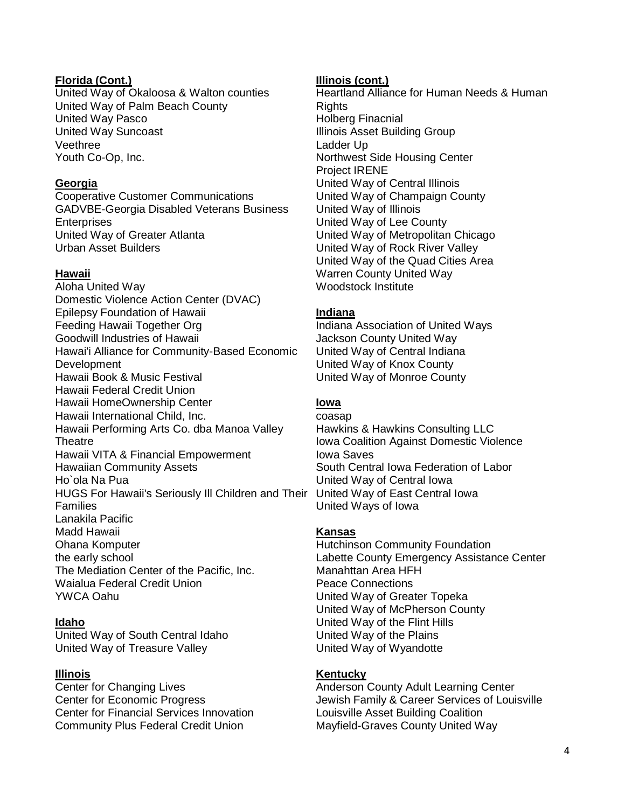## **Florida (Cont.)**

United Way of Okaloosa & Walton counties United Way of Palm Beach County United Way Pasco United Way Suncoast Veethree Youth Co-Op, Inc.

### **Georgia**

Cooperative Customer Communications GADVBE-Georgia Disabled Veterans Business **Enterprises** United Way of Greater Atlanta Urban Asset Builders

### **Hawaii**

Aloha United Way Domestic Violence Action Center (DVAC) Epilepsy Foundation of Hawaii Feeding Hawaii Together Org Goodwill Industries of Hawaii Hawai'i Alliance for Community-Based Economic **Development** Hawaii Book & Music Festival Hawaii Federal Credit Union Hawaii HomeOwnership Center Hawaii International Child, Inc. Hawaii Performing Arts Co. dba Manoa Valley **Theatre** Hawaii VITA & Financial Empowerment Hawaiian Community Assets Ho`ola Na Pua HUGS For Hawaii's Seriously Ill Children and Their Families Lanakila Pacific Madd Hawaii Ohana Komputer the early school The Mediation Center of the Pacific, Inc. Waialua Federal Credit Union YWCA Oahu

## **Idaho**

United Way of South Central Idaho United Way of Treasure Valley

#### **Illinois**

Center for Changing Lives Center for Economic Progress Center for Financial Services Innovation Community Plus Federal Credit Union

#### **Illinois (cont.)**

Heartland Alliance for Human Needs & Human **Rights** Holberg Finacnial Illinois Asset Building Group Ladder Up Northwest Side Housing Center Project IRENE United Way of Central Illinois United Way of Champaign County United Way of Illinois United Way of Lee County United Way of Metropolitan Chicago United Way of Rock River Valley United Way of the Quad Cities Area Warren County United Way Woodstock Institute

### **Indiana**

Indiana Association of United Ways Jackson County United Way United Way of Central Indiana United Way of Knox County United Way of Monroe County

### **Iowa**

coasap Hawkins & Hawkins Consulting LLC Iowa Coalition Against Domestic Violence Iowa Saves South Central Iowa Federation of Labor United Way of Central Iowa United Way of East Central Iowa United Ways of Iowa

## **Kansas**

Hutchinson Community Foundation Labette County Emergency Assistance Center Manahttan Area HFH Peace Connections United Way of Greater Topeka United Way of McPherson County United Way of the Flint Hills United Way of the Plains United Way of Wyandotte

### **Kentucky**

Anderson County Adult Learning Center Jewish Family & Career Services of Louisville Louisville Asset Building Coalition Mayfield-Graves County United Way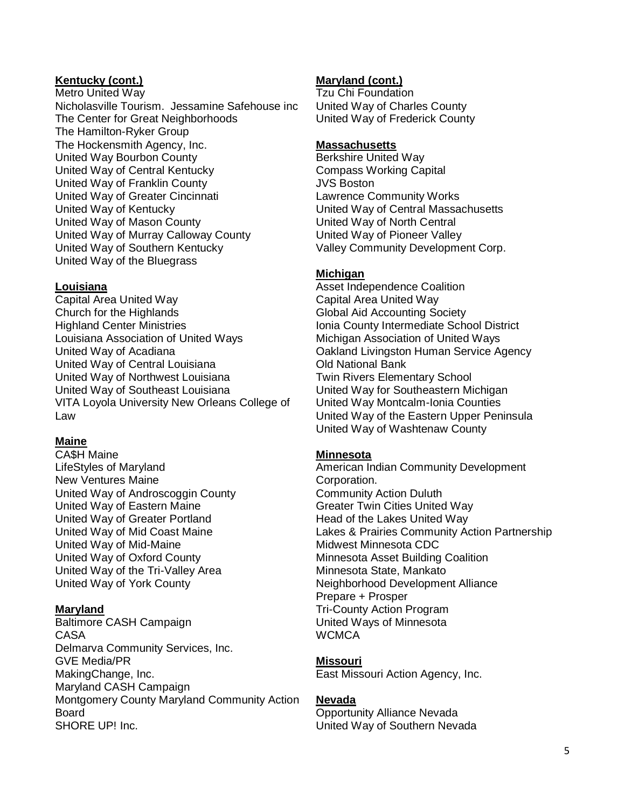## **Kentucky (cont.)**

Metro United Way Nicholasville Tourism. Jessamine Safehouse inc The Center for Great Neighborhoods The Hamilton-Ryker Group The Hockensmith Agency, Inc. United Way Bourbon County United Way of Central Kentucky United Way of Franklin County United Way of Greater Cincinnati United Way of Kentucky United Way of Mason County United Way of Murray Calloway County United Way of Southern Kentucky United Way of the Bluegrass

## **Louisiana**

Capital Area United Way Church for the Highlands Highland Center Ministries Louisiana Association of United Ways United Way of Acadiana United Way of Central Louisiana United Way of Northwest Louisiana United Way of Southeast Louisiana VITA Loyola University New Orleans College of Law

# **Maine**

CA\$H Maine LifeStyles of Maryland New Ventures Maine United Way of Androscoggin County United Way of Eastern Maine United Way of Greater Portland United Way of Mid Coast Maine United Way of Mid-Maine United Way of Oxford County United Way of the Tri-Valley Area United Way of York County

## **Maryland**

Baltimore CASH Campaign CASA Delmarva Community Services, Inc. GVE Media/PR MakingChange, Inc. Maryland CASH Campaign Montgomery County Maryland Community Action Board SHORE UP! Inc.

# **Maryland (cont.)**

Tzu Chi Foundation United Way of Charles County United Way of Frederick County

### **Massachusetts**

Berkshire United Way Compass Working Capital JVS Boston Lawrence Community Works United Way of Central Massachusetts United Way of North Central United Way of Pioneer Valley Valley Community Development Corp.

# **Michigan**

Asset Independence Coalition Capital Area United Way Global Aid Accounting Society Ionia County Intermediate School District Michigan Association of United Ways Oakland Livingston Human Service Agency Old National Bank Twin Rivers Elementary School United Way for Southeastern Michigan United Way Montcalm-Ionia Counties United Way of the Eastern Upper Peninsula United Way of Washtenaw County

# **Minnesota**

American Indian Community Development Corporation. Community Action Duluth Greater Twin Cities United Way Head of the Lakes United Way Lakes & Prairies Community Action Partnership Midwest Minnesota CDC Minnesota Asset Building Coalition Minnesota State, Mankato Neighborhood Development Alliance Prepare + Prosper Tri-County Action Program United Ways of Minnesota **WCMCA** 

# **Missouri**

East Missouri Action Agency, Inc.

## **Nevada**

Opportunity Alliance Nevada United Way of Southern Nevada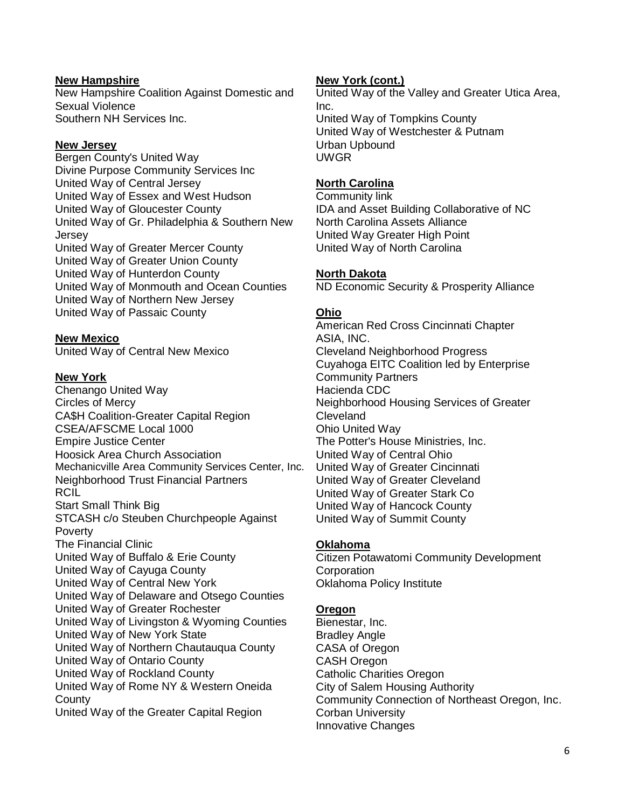## **New Hampshire**

New Hampshire Coalition Against Domestic and Sexual Violence Southern NH Services Inc.

## **New Jersey**

Bergen County's United Way Divine Purpose Community Services Inc United Way of Central Jersey United Way of Essex and West Hudson United Way of Gloucester County United Way of Gr. Philadelphia & Southern New **Jersey** United Way of Greater Mercer County United Way of Greater Union County United Way of Hunterdon County United Way of Monmouth and Ocean Counties United Way of Northern New Jersey United Way of Passaic County

# **New Mexico**

United Way of Central New Mexico

## **New York**

Chenango United Way Circles of Mercy CA\$H Coalition-Greater Capital Region CSEA/AFSCME Local 1000 Empire Justice Center Hoosick Area Church Association Mechanicville Area Community Services Center, Inc. Neighborhood Trust Financial Partners RCIL Start Small Think Big STCASH c/o Steuben Churchpeople Against Poverty The Financial Clinic United Way of Buffalo & Erie County United Way of Cayuga County United Way of Central New York United Way of Delaware and Otsego Counties United Way of Greater Rochester United Way of Livingston & Wyoming Counties United Way of New York State United Way of Northern Chautauqua County United Way of Ontario County United Way of Rockland County United Way of Rome NY & Western Oneida **County** United Way of the Greater Capital Region

### **New York (cont.)**

United Way of the Valley and Greater Utica Area, Inc. United Way of Tompkins County United Way of Westchester & Putnam Urban Upbound UWGR

## **North Carolina**

Community link IDA and Asset Building Collaborative of NC North Carolina Assets Alliance United Way Greater High Point United Way of North Carolina

## **North Dakota**

ND Economic Security & Prosperity Alliance

## **Ohio**

American Red Cross Cincinnati Chapter ASIA, INC. Cleveland Neighborhood Progress Cuyahoga EITC Coalition led by Enterprise Community Partners Hacienda CDC Neighborhood Housing Services of Greater **Cleveland** Ohio United Way The Potter's House Ministries, Inc. United Way of Central Ohio United Way of Greater Cincinnati United Way of Greater Cleveland United Way of Greater Stark Co United Way of Hancock County United Way of Summit County

# **Oklahoma**

Citizen Potawatomi Community Development **Corporation** Oklahoma Policy Institute

## **Oregon**

Bienestar, Inc. Bradley Angle CASA of Oregon CASH Oregon Catholic Charities Oregon City of Salem Housing Authority Community Connection of Northeast Oregon, Inc. Corban University Innovative Changes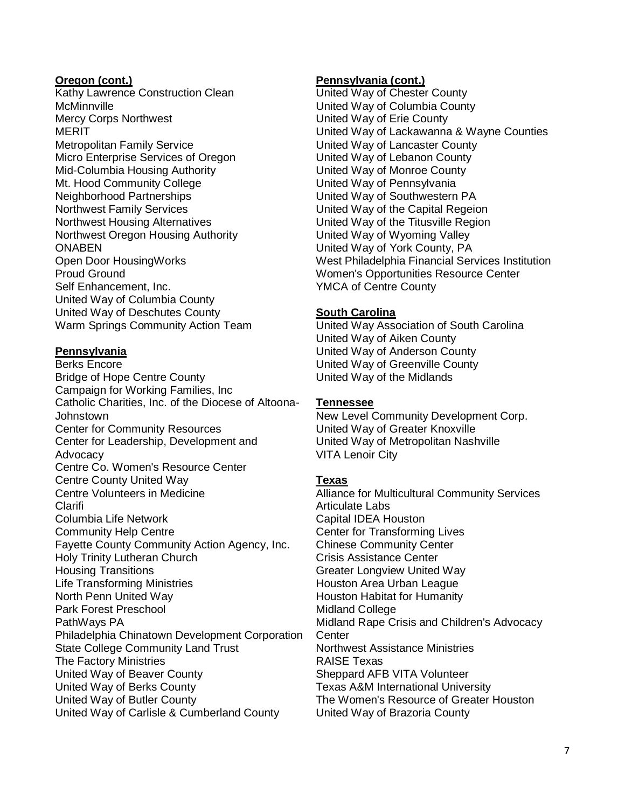#### **Oregon (cont.)**

Kathy Lawrence Construction Clean **McMinnville** Mercy Corps Northwest MERIT Metropolitan Family Service Micro Enterprise Services of Oregon Mid-Columbia Housing Authority Mt. Hood Community College Neighborhood Partnerships Northwest Family Services Northwest Housing Alternatives Northwest Oregon Housing Authority **ONABEN** Open Door HousingWorks Proud Ground Self Enhancement, Inc. United Way of Columbia County United Way of Deschutes County Warm Springs Community Action Team

## **Pennsylvania**

Berks Encore Bridge of Hope Centre County Campaign for Working Families, Inc Catholic Charities, Inc. of the Diocese of Altoona-Johnstown Center for Community Resources Center for Leadership, Development and Advocacy Centre Co. Women's Resource Center Centre County United Way Centre Volunteers in Medicine Clarifi Columbia Life Network Community Help Centre Fayette County Community Action Agency, Inc. Holy Trinity Lutheran Church Housing Transitions Life Transforming Ministries North Penn United Way Park Forest Preschool PathWays PA Philadelphia Chinatown Development Corporation State College Community Land Trust The Factory Ministries United Way of Beaver County United Way of Berks County United Way of Butler County United Way of Carlisle & Cumberland County

### **Pennsylvania (cont.)**

United Way of Chester County United Way of Columbia County United Way of Erie County United Way of Lackawanna & Wayne Counties United Way of Lancaster County United Way of Lebanon County United Way of Monroe County United Way of Pennsylvania United Way of Southwestern PA United Way of the Capital Regeion United Way of the Titusville Region United Way of Wyoming Valley United Way of York County, PA West Philadelphia Financial Services Institution Women's Opportunities Resource Center YMCA of Centre County

### **South Carolina**

United Way Association of South Carolina United Way of Aiken County United Way of Anderson County United Way of Greenville County United Way of the Midlands

## **Tennessee**

New Level Community Development Corp. United Way of Greater Knoxville United Way of Metropolitan Nashville VITA Lenoir City

## **Texas**

Alliance for Multicultural Community Services Articulate Labs Capital IDEA Houston Center for Transforming Lives Chinese Community Center Crisis Assistance Center Greater Longview United Way Houston Area Urban League Houston Habitat for Humanity Midland College Midland Rape Crisis and Children's Advocacy **Center** Northwest Assistance Ministries RAISE Texas Sheppard AFB VITA Volunteer Texas A&M International University The Women's Resource of Greater Houston United Way of Brazoria County